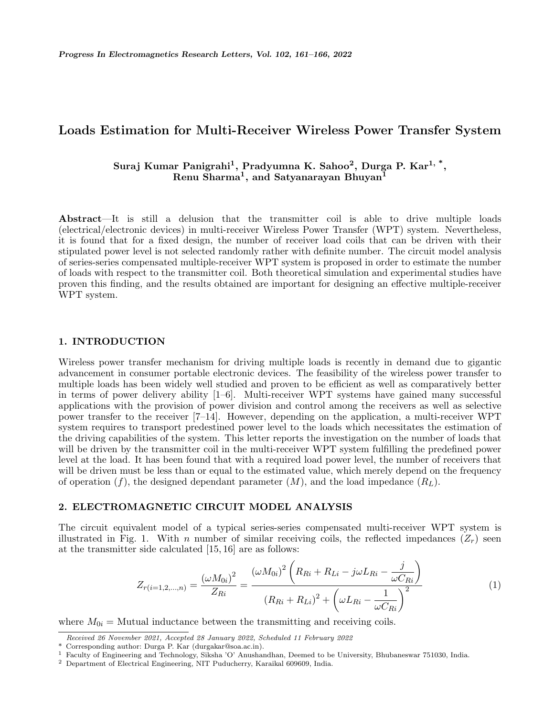# **Loads Estimation for Multi-Receiver Wireless Power Transfer System**

# **Suraj Kumar Panigrahi<sup>1</sup> , Pradyumna K. Sahoo<sup>2</sup> , Durga P. Kar1, \* , Renu Sharma<sup>1</sup> , and Satyanarayan Bhuyan<sup>1</sup>**

**Abstract**—It is still a delusion that the transmitter coil is able to drive multiple loads (electrical/electronic devices) in multi-receiver Wireless Power Transfer (WPT) system. Nevertheless, it is found that for a fixed design, the number of receiver load coils that can be driven with their stipulated power level is not selected randomly rather with definite number. The circuit model analysis of series-series compensated multiple-receiver WPT system is proposed in order to estimate the number of loads with respect to the transmitter coil. Both theoretical simulation and experimental studies have proven this finding, and the results obtained are important for designing an effective multiple-receiver WPT system.

#### **1. INTRODUCTION**

Wireless power transfer mechanism for driving multiple loads is recently in demand due to gigantic advancement in consumer portable electronic devices. The feasibility of the wireless power transfer to multiple loads has been widely well studied and proven to be efficient as well as comparatively better in terms of power delivery ability [1–6]. Multi-receiver WPT systems have gained many successful applications with the provision of power division and control among the receivers as well as selective power transfer to the receiver [7–14]. However, depending on the application, a multi-receiver WPT system requires to transport predestined power level to the loads which necessitates the estimation of the driving capabilities of the system. This letter reports the investigation on the number of loads that will be driven by the transmitter coil in the multi-receiver WPT system fulfilling the predefined power level at the load. It has been found that with a required load power level, the number of receivers that will be driven must be less than or equal to the estimated value, which merely depend on the frequency of operation  $(f)$ , the designed dependant parameter  $(M)$ , and the load impedance  $(R_L)$ .

## **2. ELECTROMAGNETIC CIRCUIT MODEL ANALYSIS**

The circuit equivalent model of a typical series-series compensated multi-receiver WPT system is illustrated in Fig. 1. With *n* number of similar receiving coils, the reflected impedances  $(Z_r)$  seen at the transmitter side calculated [15, 16] are as follows:

$$
Z_{r(i=1,2,...,n)} = \frac{(\omega M_{0i})^2}{Z_{Ri}} = \frac{(\omega M_{0i})^2 \left( R_{Ri} + R_{Li} - j\omega L_{Ri} - \frac{j}{\omega C_{Ri}} \right)}{(R_{Ri} + R_{Li})^2 + \left( \omega L_{Ri} - \frac{1}{\omega C_{Ri}} \right)^2}
$$
(1)

where  $M_{0i}$  = Mutual inductance between the transmitting and receiving coils.

*Received 26 November 2021, Accepted 28 January 2022, Scheduled 11 February 2022*

Corresponding author: Durga P. Kar (durgakar@soa.ac.in).

<sup>1</sup> Faculty of Engineering and Technology, Siksha 'O' Anushandhan, Deemed to be University, Bhubaneswar 751030, India.

<sup>2</sup> Department of Electrical Engineering, NIT Puducherry, Karaikal 609609, India.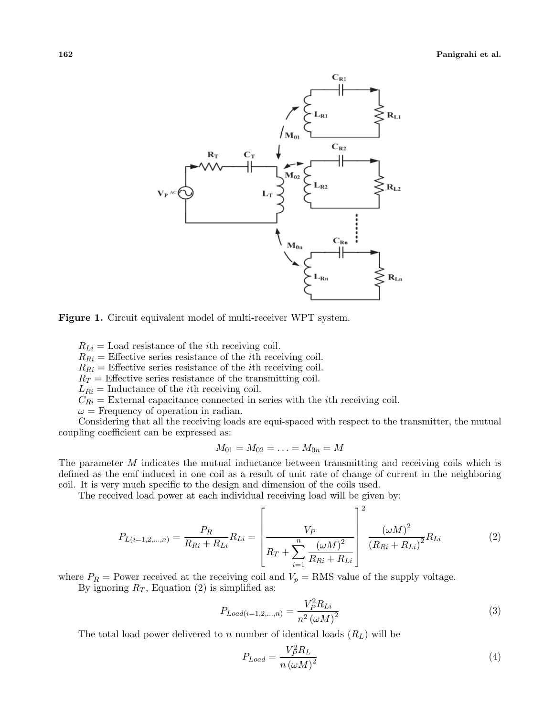



 $R_{Li}$  = Load resistance of the *i*th receiving coil.

 $R_{Ri}$  = Effective series resistance of the *i*th receiving coil.

 $R_{Ri}$  = Effective series resistance of the *i*th receiving coil.

 $R_T$  = Effective series resistance of the transmitting coil.

 $L_{Ri}$  = Inductance of the *i*th receiving coil.

 $C_{Ri}$  = External capacitance connected in series with the *i*th receiving coil.

 $\omega$  = Frequency of operation in radian.

Considering that all the receiving loads are equi-spaced with respect to the transmitter, the mutual coupling coefficient can be expressed as:

$$
M_{01} = M_{02} = \ldots = M_{0n} = M
$$

The parameter *M* indicates the mutual inductance between transmitting and receiving coils which is defined as the emf induced in one coil as a result of unit rate of change of current in the neighboring coil. It is very much specific to the design and dimension of the coils used.

The received load power at each individual receiving load will be given by:

$$
P_{L(i=1,2,...,n)} = \frac{P_R}{R_{Ri} + R_{Li}} R_{Li} = \left[ \frac{V_P}{R_T + \sum_{i=1}^n \frac{(\omega M)^2}{R_{Ri} + R_{Li}}} \right]^2 \frac{(\omega M)^2}{(R_{Ri} + R_{Li})^2} R_{Li}
$$
(2)

where  $P_R$  = Power received at the receiving coil and  $V_p$  = RMS value of the supply voltage.

By ignoring  $R_T$ , Equation (2) is simplified as:

$$
P_{Load(i=1,2,...,n)} = \frac{V_P^2 R_{Li}}{n^2 (\omega M)^2}
$$
\n(3)

The total load power delivered to *n* number of identical loads (*RL*) will be

$$
P_{Load} = \frac{V_P^2 R_L}{n \left(\omega M\right)^2} \tag{4}
$$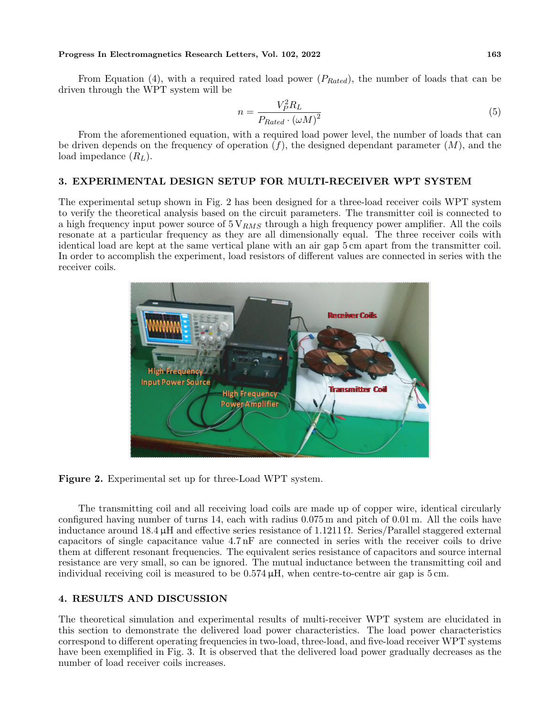#### **Progress In Electromagnetics Research Letters, Vol. 102, 2022 163**

From Equation (4), with a required rated load power (*PRated*), the number of loads that can be driven through the WPT system will be

$$
n = \frac{V_P^2 R_L}{P_{Rated} \cdot (\omega M)^2} \tag{5}
$$

From the aforementioned equation, with a required load power level, the number of loads that can be driven depends on the frequency of operation (*f*), the designed dependant parameter (*M*), and the load impedance (*RL*).

## **3. EXPERIMENTAL DESIGN SETUP FOR MULTI-RECEIVER WPT SYSTEM**

The experimental setup shown in Fig. 2 has been designed for a three-load receiver coils WPT system to verify the theoretical analysis based on the circuit parameters. The transmitter coil is connected to a high frequency input power source of 5 V*RMS* through a high frequency power amplifier. All the coils resonate at a particular frequency as they are all dimensionally equal. The three receiver coils with identical load are kept at the same vertical plane with an air gap 5 cm apart from the transmitter coil. In order to accomplish the experiment, load resistors of different values are connected in series with the receiver coils.



**Figure 2.** Experimental set up for three-Load WPT system.

The transmitting coil and all receiving load coils are made up of copper wire, identical circularly configured having number of turns 14, each with radius  $0.075$  m and pitch of  $0.01$  m. All the coils have inductance around 18.4  $\mu$ H and effective series resistance of 1.1211  $\Omega$ . Series/Parallel staggered external capacitors of single capacitance value 4.7 nF are connected in series with the receiver coils to drive them at different resonant frequencies. The equivalent series resistance of capacitors and source internal resistance are very small, so can be ignored. The mutual inductance between the transmitting coil and individual receiving coil is measured to be  $0.574 \mu H$ , when centre-to-centre air gap is 5 cm.

## **4. RESULTS AND DISCUSSION**

The theoretical simulation and experimental results of multi-receiver WPT system are elucidated in this section to demonstrate the delivered load power characteristics. The load power characteristics correspond to different operating frequencies in two-load, three-load, and five-load receiver WPT systems have been exemplified in Fig. 3. It is observed that the delivered load power gradually decreases as the number of load receiver coils increases.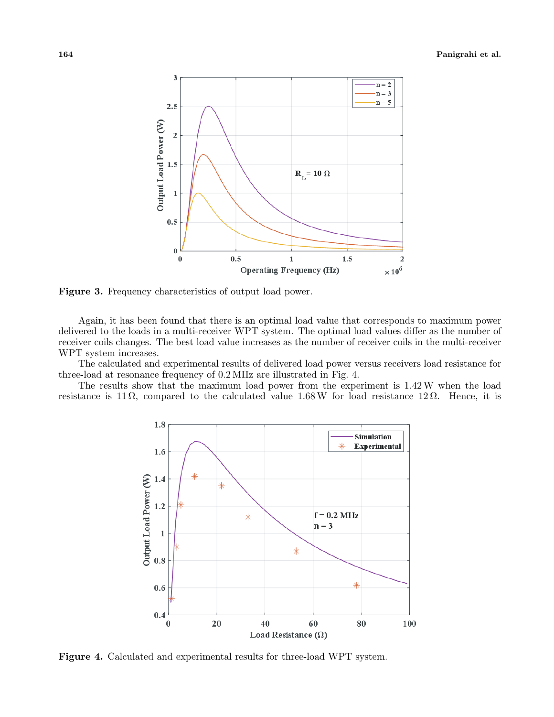

**Figure 3.** Frequency characteristics of output load power.

Again, it has been found that there is an optimal load value that corresponds to maximum power delivered to the loads in a multi-receiver WPT system. The optimal load values differ as the number of receiver coils changes. The best load value increases as the number of receiver coils in the multi-receiver WPT system increases.

The calculated and experimental results of delivered load power versus receivers load resistance for three-load at resonance frequency of 0.2 MHz are illustrated in Fig. 4.

The results show that the maximum load power from the experiment is 1.42W when the load resistance is 11  $\Omega$ , compared to the calculated value 1.68 W for load resistance 12  $\Omega$ . Hence, it is



**Figure 4.** Calculated and experimental results for three-load WPT system.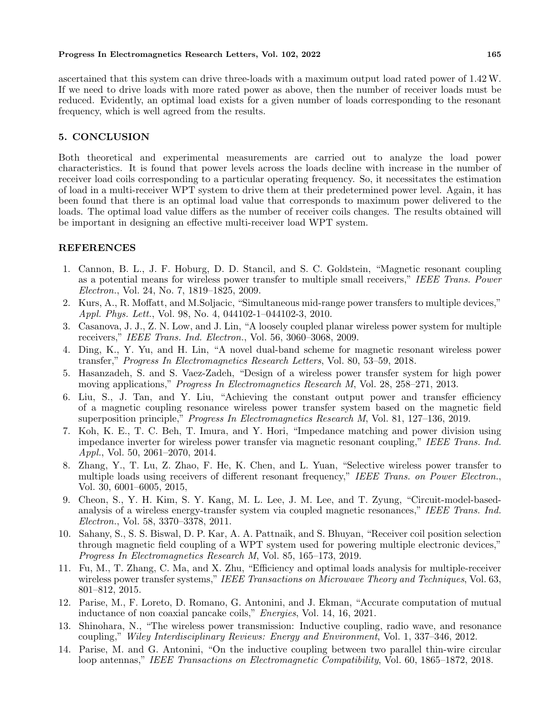#### **Progress In Electromagnetics Research Letters, Vol. 102, 2022 165**

ascertained that this system can drive three-loads with a maximum output load rated power of 1.42W. If we need to drive loads with more rated power as above, then the number of receiver loads must be reduced. Evidently, an optimal load exists for a given number of loads corresponding to the resonant frequency, which is well agreed from the results.

# **5. CONCLUSION**

Both theoretical and experimental measurements are carried out to analyze the load power characteristics. It is found that power levels across the loads decline with increase in the number of receiver load coils corresponding to a particular operating frequency. So, it necessitates the estimation of load in a multi-receiver WPT system to drive them at their predetermined power level. Again, it has been found that there is an optimal load value that corresponds to maximum power delivered to the loads. The optimal load value differs as the number of receiver coils changes. The results obtained will be important in designing an effective multi-receiver load WPT system.

# **REFERENCES**

- 1. Cannon, B. L., J. F. Hoburg, D. D. Stancil, and S. C. Goldstein, "Magnetic resonant coupling as a potential means for wireless power transfer to multiple small receivers," *IEEE Trans. Power Electron.*, Vol. 24, No. 7, 1819–1825, 2009.
- 2. Kurs, A., R. Moffatt, and M.Soljacic, "Simultaneous mid-range power transfers to multiple devices," *Appl. Phys. Lett.*, Vol. 98, No. 4, 044102-1–044102-3, 2010.
- 3. Casanova, J. J., Z. N. Low, and J. Lin, "A loosely coupled planar wireless power system for multiple receivers," *IEEE Trans. Ind. Electron.*, Vol. 56, 3060–3068, 2009.
- 4. Ding, K., Y. Yu, and H. Lin, "A novel dual-band scheme for magnetic resonant wireless power transfer," *Progress In Electromagnetics Research Letters*, Vol. 80, 53–59, 2018.
- 5. Hasanzadeh, S. and S. Vaez-Zadeh, "Design of a wireless power transfer system for high power moving applications," *Progress In Electromagnetics Research M*, Vol. 28, 258–271, 2013.
- 6. Liu, S., J. Tan, and Y. Liu, "Achieving the constant output power and transfer efficiency of a magnetic coupling resonance wireless power transfer system based on the magnetic field superposition principle," *Progress In Electromagnetics Research M*, Vol. 81, 127–136, 2019.
- 7. Koh, K. E., T. C. Beh, T. Imura, and Y. Hori, "Impedance matching and power division using impedance inverter for wireless power transfer via magnetic resonant coupling," *IEEE Trans. Ind. Appl.*, Vol. 50, 2061–2070, 2014.
- 8. Zhang, Y., T. Lu, Z. Zhao, F. He, K. Chen, and L. Yuan, "Selective wireless power transfer to multiple loads using receivers of different resonant frequency," *IEEE Trans. on Power Electron.*, Vol. 30, 6001–6005, 2015,
- 9. Cheon, S., Y. H. Kim, S. Y. Kang, M. L. Lee, J. M. Lee, and T. Zyung, "Circuit-model-basedanalysis of a wireless energy-transfer system via coupled magnetic resonances," *IEEE Trans. Ind. Electron.*, Vol. 58, 3370–3378, 2011.
- 10. Sahany, S., S. S. Biswal, D. P. Kar, A. A. Pattnaik, and S. Bhuyan, "Receiver coil position selection through magnetic field coupling of a WPT system used for powering multiple electronic devices," *Progress In Electromagnetics Research M*, Vol. 85, 165–173, 2019.
- 11. Fu, M., T. Zhang, C. Ma, and X. Zhu, "Efficiency and optimal loads analysis for multiple-receiver wireless power transfer systems," *IEEE Transactions on Microwave Theory and Techniques*, Vol. 63, 801–812, 2015.
- 12. Parise, M., F. Loreto, D. Romano, G. Antonini, and J. Ekman, "Accurate computation of mutual inductance of non coaxial pancake coils," *Energies*, Vol. 14, 16, 2021.
- 13. Shinohara, N., "The wireless power transmission: Inductive coupling, radio wave, and resonance coupling," *Wiley Interdisciplinary Reviews: Energy and Environment*, Vol. 1, 337–346, 2012.
- 14. Parise, M. and G. Antonini, "On the inductive coupling between two parallel thin-wire circular loop antennas," *IEEE Transactions on Electromagnetic Compatibility*, Vol. 60, 1865–1872, 2018.